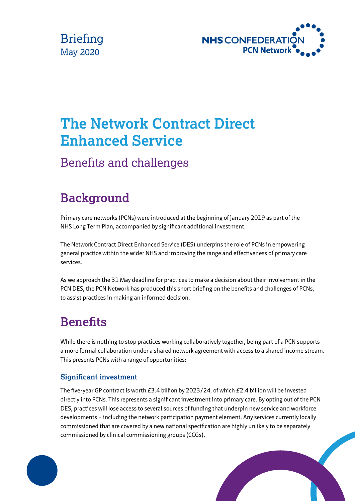



# **The Network Contract Direct Enhanced Service**

## Benefits and challenges

## **Background**

Primary care networks (PCNs) were introduced at the beginning of January 2019 as part of the NHS Long Term Plan, accompanied by significant additional investment.

The Network Contract Direct Enhanced Service (DES) underpins the role of PCNs in empowering general practice within the wider NHS and improving the range and effectiveness of primary care services.

As we approach the 31 May deadline for practices to make a decision about their involvement in the PCN DES, the PCN Network has produced this short briefing on the benefits and challenges of PCNs, to assist practices in making an informed decision.

## **Benefits**

While there is nothing to stop practices working collaboratively together, being part of a PCN supports a more formal collaboration under a shared network agreement with access to a shared income stream. This presents PCNs with a range of opportunities:

#### **Significant investment**

The five-year GP contract is worth £3.4 billion by 2023/24, of which £2.4 billion will be invested directly into PCNs. This represents a significant investment into primary care. By opting out of the PCN DES, practices will lose access to several sources of funding that underpin new service and workforce developments – including the network participation payment element. Any services currently locally commissioned that are covered by a new national specification are highly unlikely to be separately commissioned by clinical commissioning groups (CCGs).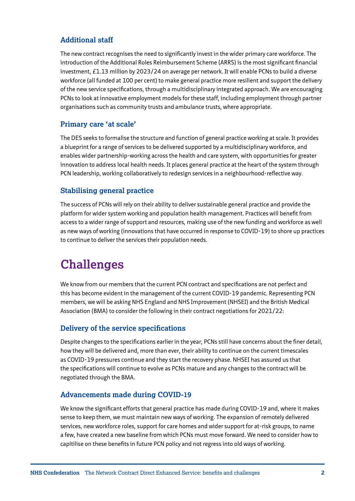#### **Additional staff**

The new contract recognises the need to significantly invest in the wider primary care workforce. The introduction of the Additional Roles Reimbursement Scheme (ARRS) is the most significant financial investment, £1.13 million by 2023/24 on average per network. It will enable PCNs to build a diverse workforce (all funded at 100 per cent) to make general practice more resilient and support the delivery of the new service specifications, through a multidisciplinary integrated approach. We are encouraging PCNs to look at innovative employment models for these staff, including employment through partner organisations such as community trusts and ambulance trusts, where appropriate.

#### **Primary care 'at scale'**

The DES seeks to formalise the structure and function of general practice working at scale. It provides a blueprint for a range of services to be delivered supported by a multidisciplinary workforce, and enables wider partnership-working across the health and care system, with opportunities for greater innovation to address local health needs. It places general practice at the heart of the system through PCN leadership, working collaboratively to redesign services in a neighbourhood-reflective way.

#### **Stabilising general practice**

The success of PCNs will rely on their ability to deliver sustainable general practice and provide the platform for wider system working and population health management. Practices will benefit from access to a wider range of support and resources, making use of the new funding and workforce as well as new ways of working (innovations that have occurred in response to COVID-19) to shore up practices to continue to deliver the services their population needs.

### **Challenges**

We know from our members that the current PCN contract and specifications are not perfect and this has become evident in the management of the current COVID-19 pandemic. Representing PCN members, we will be asking NHS England and NHS Improvement (NHSEI) and the British Medical Association (BMA) to consider the following in their contract negotiations for 2021/22:

#### **Delivery of the service specifications**

Despite changes to the specifications earlier in the year, PCNs still have concerns about the finer detail, how they will be delivered and, more than ever, their ability to continue on the current timescales as COVID-19 pressures continue and they start the recovery phase. NHSEI has assured us that the specifications will continue to evolve as PCNs mature and any changes to the contract will be negotiated through the BMA.

#### **Advancements made during COVID-19**

We know the significant efforts that general practice has made during COVID-19 and, where it makes sense to keep them, we must maintain new ways of working. The expansion of remotely delivered services, new workforce roles, support for care homes and wider support for at-risk groups, to name a few, have created a new baseline from which PCNs must move forward. We need to consider how to capitilise on these benefits in future PCN policy and not regress into old ways of working.